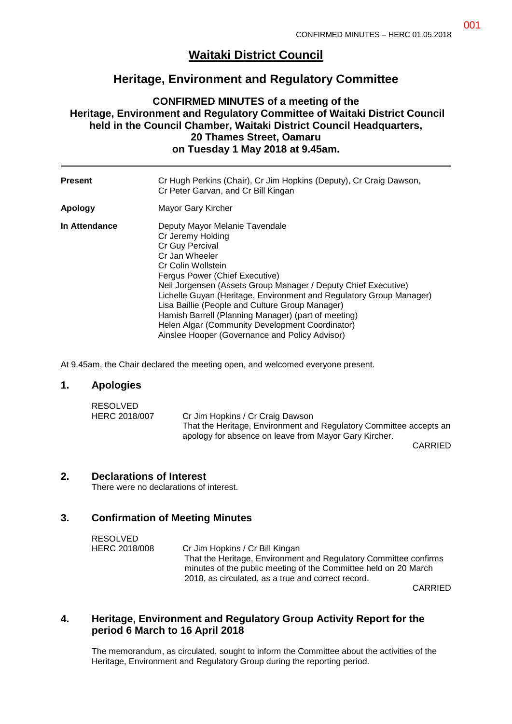# **Waitaki District Council**

# **Heritage, Environment and Regulatory Committee**

## **CONFIRMED MINUTES of a meeting of the Heritage, Environment and Regulatory Committee of Waitaki District Council held in the Council Chamber, Waitaki District Council Headquarters, 20 Thames Street, Oamaru on Tuesday 1 May 2018 at 9.45am.**

| <b>Present</b> | Cr Hugh Perkins (Chair), Cr Jim Hopkins (Deputy), Cr Craig Dawson,<br>Cr Peter Garvan, and Cr Bill Kingan                                                                                                                                                                                                                                                                                                                                                                                                |
|----------------|----------------------------------------------------------------------------------------------------------------------------------------------------------------------------------------------------------------------------------------------------------------------------------------------------------------------------------------------------------------------------------------------------------------------------------------------------------------------------------------------------------|
| Apology        | Mayor Gary Kircher                                                                                                                                                                                                                                                                                                                                                                                                                                                                                       |
| In Attendance  | Deputy Mayor Melanie Tavendale<br>Cr Jeremy Holding<br>Cr Guy Percival<br>Cr Jan Wheeler<br>Cr Colin Wollstein<br>Fergus Power (Chief Executive)<br>Neil Jorgensen (Assets Group Manager / Deputy Chief Executive)<br>Lichelle Guyan (Heritage, Environment and Regulatory Group Manager)<br>Lisa Baillie (People and Culture Group Manager)<br>Hamish Barrell (Planning Manager) (part of meeting)<br>Helen Algar (Community Development Coordinator)<br>Ainslee Hooper (Governance and Policy Advisor) |

At 9.45am, the Chair declared the meeting open, and welcomed everyone present.

#### **1. Apologies**

| RESOLVED      |                                                                    |
|---------------|--------------------------------------------------------------------|
| HERC 2018/007 | Cr Jim Hopkins / Cr Craig Dawson                                   |
|               | That the Heritage, Environment and Regulatory Committee accepts an |
|               | apology for absence on leave from Mayor Gary Kircher.              |

CARRIED

#### **2. Declarations of Interest**

There were no declarations of interest.

### **3. Confirmation of Meeting Minutes**

| RESOLVED      |                                                                                                                                     |
|---------------|-------------------------------------------------------------------------------------------------------------------------------------|
| HERC 2018/008 | Cr Jim Hopkins / Cr Bill Kingan                                                                                                     |
|               | That the Heritage, Environment and Regulatory Committee confirms<br>minutes of the public meeting of the Committee held on 20 March |
|               | 2018, as circulated, as a true and correct record.                                                                                  |

CARRIED

### **4. Heritage, Environment and Regulatory Group Activity Report for the period 6 March to 16 April 2018**

The memorandum, as circulated, sought to inform the Committee about the activities of the Heritage, Environment and Regulatory Group during the reporting period.